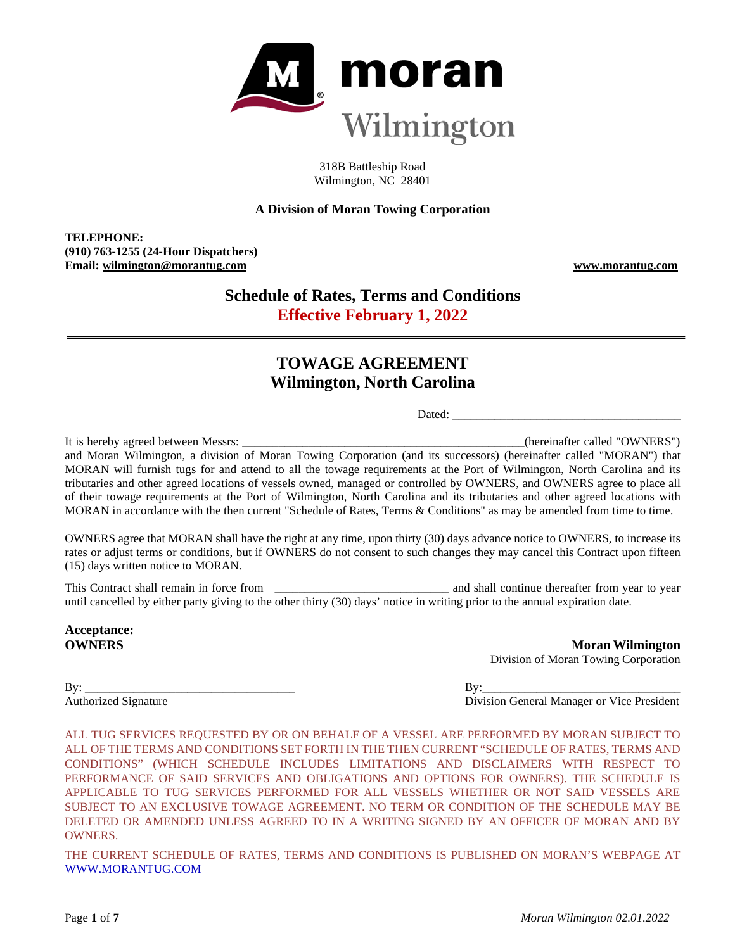

318B Battleship Road Wilmington, NC 28401

## **A Division of Moran Towing Corporation**

**TELEPHONE: (910) 763-1255 (24-Hour Dispatchers) Email: wilmington@morantug.com www.morantug.com**

# **Schedule of Rates, Terms and Conditions Effective February 1, 2022**

# **TOWAGE AGREEMENT Wilmington, North Carolina**

Dated:

It is hereby agreed between Messrs: \_\_\_\_\_\_\_\_\_\_\_\_\_\_\_\_\_\_\_\_\_\_\_\_\_\_\_\_\_\_\_\_\_\_\_\_\_\_\_\_\_\_\_\_\_\_\_(hereinafter called "OWNERS") and Moran Wilmington, a division of Moran Towing Corporation (and its successors) (hereinafter called "MORAN") that MORAN will furnish tugs for and attend to all the towage requirements at the Port of Wilmington, North Carolina and its tributaries and other agreed locations of vessels owned, managed or controlled by OWNERS, and OWNERS agree to place all of their towage requirements at the Port of Wilmington, North Carolina and its tributaries and other agreed locations with MORAN in accordance with the then current "Schedule of Rates, Terms & Conditions" as may be amended from time to time.

OWNERS agree that MORAN shall have the right at any time, upon thirty (30) days advance notice to OWNERS, to increase its rates or adjust terms or conditions, but if OWNERS do not consent to such changes they may cancel this Contract upon fifteen (15) days written notice to MORAN.

This Contract shall remain in force from \_\_\_\_\_\_\_\_\_\_\_\_\_\_\_\_\_\_\_\_\_\_\_\_\_\_\_\_\_ and shall continue thereafter from year to year until cancelled by either party giving to the other thirty (30) days' notice in writing prior to the annual expiration date.

**Acceptance:**

**OWNERS** Moran Wilmington Division of Moran Towing Corporation

By: \_\_\_\_\_\_\_\_\_\_\_\_\_\_\_\_\_\_\_\_\_\_\_\_\_\_\_\_\_\_\_\_\_\_\_ By:\_\_\_\_\_\_\_\_\_\_\_\_\_\_\_\_\_\_\_\_\_\_\_\_\_\_\_\_\_\_\_\_\_

Authorized Signature Division General Manager or Vice President

ALL TUG SERVICES REQUESTED BY OR ON BEHALF OF A VESSEL ARE PERFORMED BY MORAN SUBJECT TO ALL OF THE TERMS AND CONDITIONS SET FORTH IN THE THEN CURRENT "SCHEDULE OF RATES, TERMS AND CONDITIONS" (WHICH SCHEDULE INCLUDES LIMITATIONS AND DISCLAIMERS WITH RESPECT TO PERFORMANCE OF SAID SERVICES AND OBLIGATIONS AND OPTIONS FOR OWNERS). THE SCHEDULE IS APPLICABLE TO TUG SERVICES PERFORMED FOR ALL VESSELS WHETHER OR NOT SAID VESSELS ARE SUBJECT TO AN EXCLUSIVE TOWAGE AGREEMENT. NO TERM OR CONDITION OF THE SCHEDULE MAY BE DELETED OR AMENDED UNLESS AGREED TO IN A WRITING SIGNED BY AN OFFICER OF MORAN AND BY OWNERS.

THE CURRENT SCHEDULE OF RATES, TERMS AND CONDITIONS IS PUBLISHED ON MORAN'S WEBPAGE AT [WWW.MORANTUG.COM](file://MTCINFFS01/Groups/Sales/Port%20Rate%20Schedules/Current%20Schedules%20in%20Word%20and%20as%20pdf)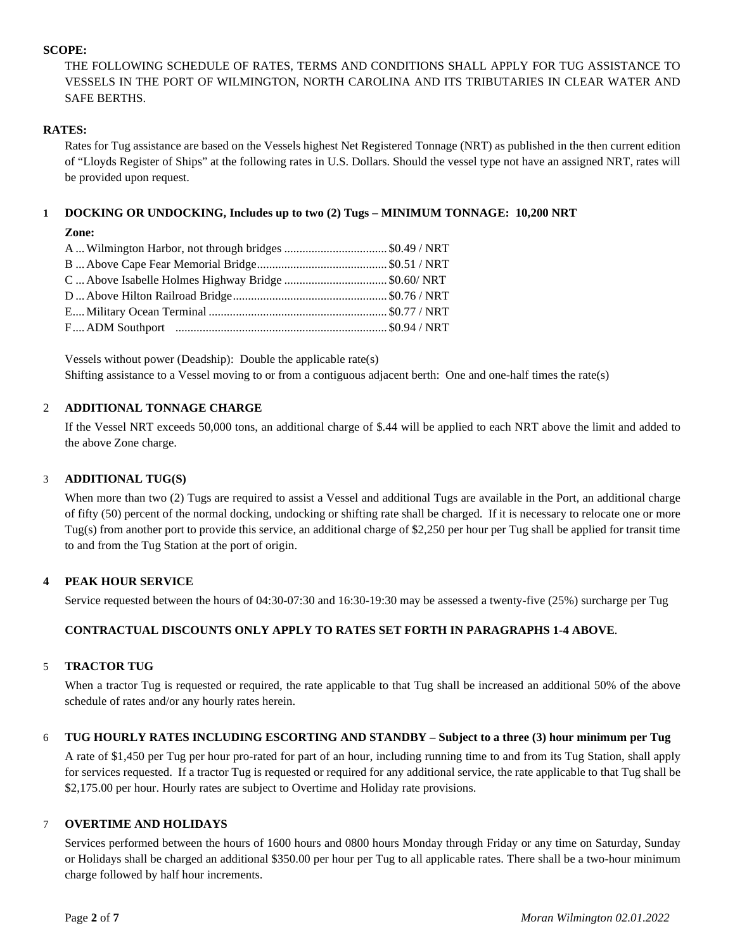## **SCOPE:**

THE FOLLOWING SCHEDULE OF RATES, TERMS AND CONDITIONS SHALL APPLY FOR TUG ASSISTANCE TO VESSELS IN THE PORT OF WILMINGTON, NORTH CAROLINA AND ITS TRIBUTARIES IN CLEAR WATER AND SAFE BERTHS.

## **RATES:**

Rates for Tug assistance are based on the Vessels highest Net Registered Tonnage (NRT) as published in the then current edition of "Lloyds Register of Ships" at the following rates in U.S. Dollars. Should the vessel type not have an assigned NRT, rates will be provided upon request.

## **1 DOCKING OR UNDOCKING, Includes up to two (2) Tugs – MINIMUM TONNAGE: 10,200 NRT**

## **Zone:**

| A  Wilmington Harbor, not through bridges \$0.49 / NRT |  |
|--------------------------------------------------------|--|
|                                                        |  |
| C Above Isabelle Holmes Highway Bridge\$0.60/NRT       |  |
|                                                        |  |
|                                                        |  |
|                                                        |  |
|                                                        |  |

Vessels without power (Deadship): Double the applicable rate(s) Shifting assistance to a Vessel moving to or from a contiguous adjacent berth: One and one-half times the rate(s)

## 2 **ADDITIONAL TONNAGE CHARGE**

If the Vessel NRT exceeds 50,000 tons, an additional charge of \$.44 will be applied to each NRT above the limit and added to the above Zone charge.

## 3 **ADDITIONAL TUG(S)**

When more than two (2) Tugs are required to assist a Vessel and additional Tugs are available in the Port, an additional charge of fifty (50) percent of the normal docking, undocking or shifting rate shall be charged. If it is necessary to relocate one or more Tug(s) from another port to provide this service, an additional charge of \$2,250 per hour per Tug shall be applied for transit time to and from the Tug Station at the port of origin.

### **4 PEAK HOUR SERVICE**

Service requested between the hours of 04:30-07:30 and 16:30-19:30 may be assessed a twenty-five (25%) surcharge per Tug

## **CONTRACTUAL DISCOUNTS ONLY APPLY TO RATES SET FORTH IN PARAGRAPHS 1-4 ABOVE.**

### 5 **TRACTOR TUG**

When a tractor Tug is requested or required, the rate applicable to that Tug shall be increased an additional 50% of the above schedule of rates and/or any hourly rates herein.

### 6 **TUG HOURLY RATES INCLUDING ESCORTING AND STANDBY – Subject to a three (3) hour minimum per Tug**

A rate of \$1,450 per Tug per hour pro-rated for part of an hour, including running time to and from its Tug Station, shall apply for services requested. If a tractor Tug is requested or required for any additional service, the rate applicable to that Tug shall be \$2,175.00 per hour. Hourly rates are subject to Overtime and Holiday rate provisions.

## 7 **OVERTIME AND HOLIDAYS**

Services performed between the hours of 1600 hours and 0800 hours Monday through Friday or any time on Saturday, Sunday or Holidays shall be charged an additional \$350.00 per hour per Tug to all applicable rates. There shall be a two-hour minimum charge followed by half hour increments.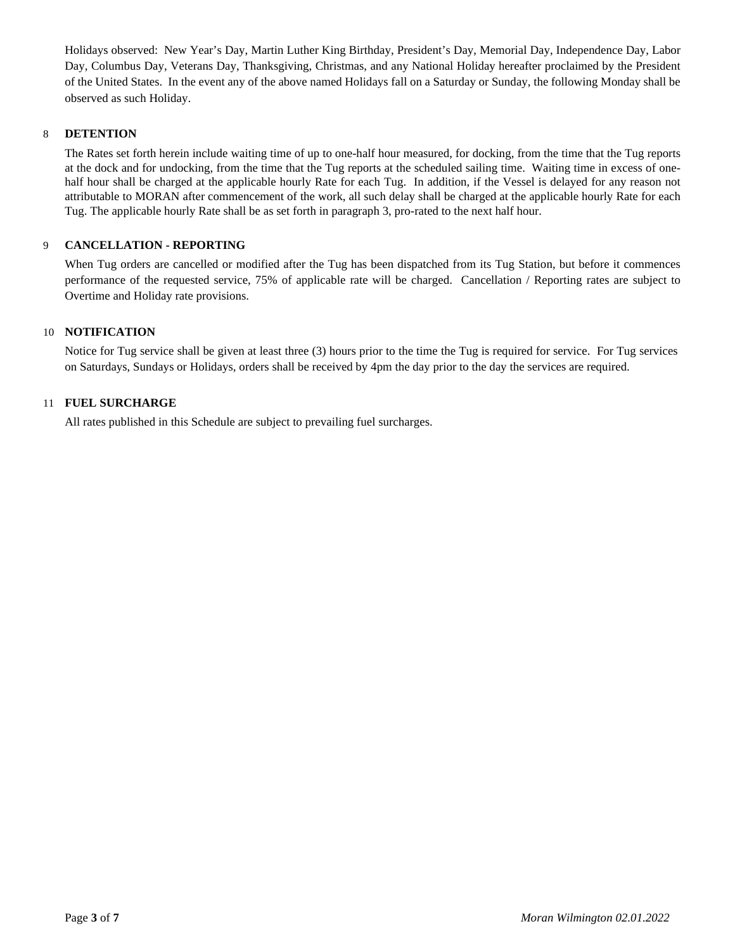Holidays observed: New Year's Day, Martin Luther King Birthday, President's Day, Memorial Day, Independence Day, Labor Day, Columbus Day, Veterans Day, Thanksgiving, Christmas, and any National Holiday hereafter proclaimed by the President of the United States. In the event any of the above named Holidays fall on a Saturday or Sunday, the following Monday shall be observed as such Holiday.

## 8 **DETENTION**

The Rates set forth herein include waiting time of up to one-half hour measured, for docking, from the time that the Tug reports at the dock and for undocking, from the time that the Tug reports at the scheduled sailing time. Waiting time in excess of onehalf hour shall be charged at the applicable hourly Rate for each Tug. In addition, if the Vessel is delayed for any reason not attributable to MORAN after commencement of the work, all such delay shall be charged at the applicable hourly Rate for each Tug. The applicable hourly Rate shall be as set forth in paragraph 3, pro-rated to the next half hour.

## 9 **CANCELLATION - REPORTING**

When Tug orders are cancelled or modified after the Tug has been dispatched from its Tug Station, but before it commences performance of the requested service, 75% of applicable rate will be charged. Cancellation / Reporting rates are subject to Overtime and Holiday rate provisions.

### 10 **NOTIFICATION**

Notice for Tug service shall be given at least three (3) hours prior to the time the Tug is required for service. For Tug services on Saturdays, Sundays or Holidays, orders shall be received by 4pm the day prior to the day the services are required.

## 11 **FUEL SURCHARGE**

All rates published in this Schedule are subject to prevailing fuel surcharges.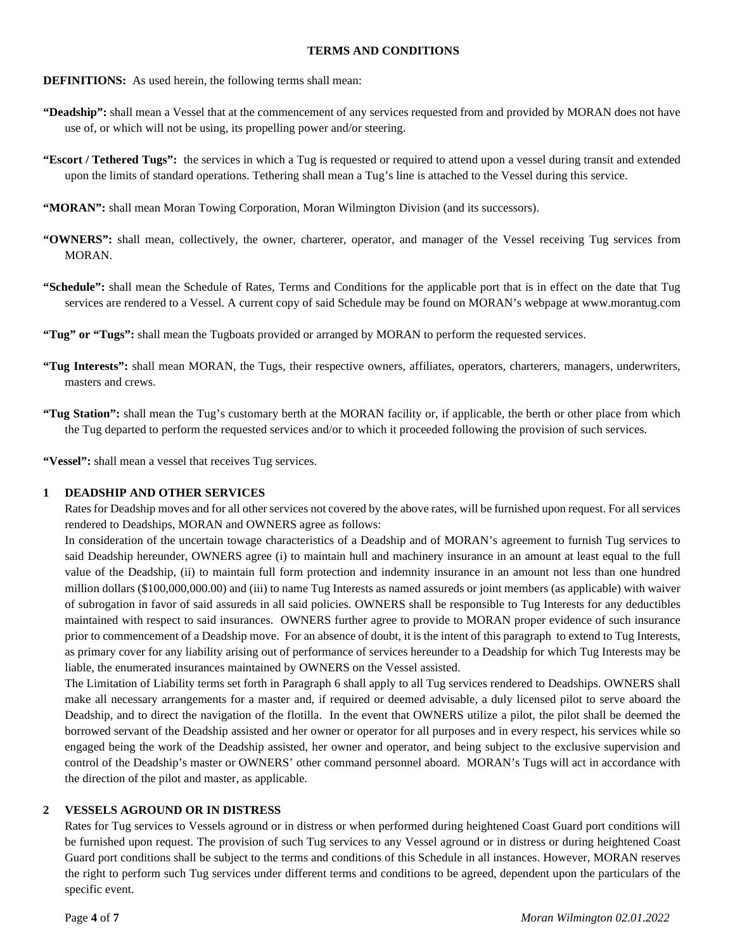#### **TERMS AND CONDITIONS**

- **DEFINITIONS:** As used herein, the following terms shall mean:
- **"Deadship":** shall mean a Vessel that at the commencement of any services requested from and provided by MORAN does not have use of, or which will not be using, its propelling power and/or steering.
- **"Escort / Tethered Tugs":** the services in which a Tug is requested or required to attend upon a vessel during transit and extended upon the limits of standard operations. Tethering shall mean a Tug's line is attached to the Vessel during this service.
- **"MORAN":** shall mean Moran Towing Corporation, Moran Wilmington Division (and its successors).
- **"OWNERS":** shall mean, collectively, the owner, charterer, operator, and manager of the Vessel receiving Tug services from MORAN.
- **"Schedule":** shall mean the Schedule of Rates, Terms and Conditions for the applicable port that is in effect on the date that Tug services are rendered to a Vessel. A current copy of said Schedule may be found on MORAN's webpage at www.morantug.com
- **"Tug" or "Tugs":** shall mean the Tugboats provided or arranged by MORAN to perform the requested services.
- **"Tug Interests":** shall mean MORAN, the Tugs, their respective owners, affiliates, operators, charterers, managers, underwriters, masters and crews.
- **"Tug Station":** shall mean the Tug's customary berth at the MORAN facility or, if applicable, the berth or other place from which the Tug departed to perform the requested services and/or to which it proceeded following the provision of such services.

**"Vessel":** shall mean a vessel that receives Tug services.

### **1 DEADSHIP AND OTHER SERVICES**

Rates for Deadship moves and for all other services not covered by the above rates, will be furnished upon request. For all services rendered to Deadships, MORAN and OWNERS agree as follows:

In consideration of the uncertain towage characteristics of a Deadship and of MORAN's agreement to furnish Tug services to said Deadship hereunder, OWNERS agree (i) to maintain hull and machinery insurance in an amount at least equal to the full value of the Deadship, (ii) to maintain full form protection and indemnity insurance in an amount not less than one hundred million dollars (\$100,000,000.00) and (iii) to name Tug Interests as named assureds or joint members (as applicable) with waiver of subrogation in favor of said assureds in all said policies. OWNERS shall be responsible to Tug Interests for any deductibles maintained with respect to said insurances. OWNERS further agree to provide to MORAN proper evidence of such insurance prior to commencement of a Deadship move. For an absence of doubt, it is the intent of this paragraph to extend to Tug Interests, as primary cover for any liability arising out of performance of services hereunder to a Deadship for which Tug Interests may be liable, the enumerated insurances maintained by OWNERS on the Vessel assisted.

The Limitation of Liability terms set forth in Paragraph 6 shall apply to all Tug services rendered to Deadships. OWNERS shall make all necessary arrangements for a master and, if required or deemed advisable, a duly licensed pilot to serve aboard the Deadship, and to direct the navigation of the flotilla. In the event that OWNERS utilize a pilot, the pilot shall be deemed the borrowed servant of the Deadship assisted and her owner or operator for all purposes and in every respect, his services while so engaged being the work of the Deadship assisted, her owner and operator, and being subject to the exclusive supervision and control of the Deadship's master or OWNERS' other command personnel aboard. MORAN's Tugs will act in accordance with the direction of the pilot and master, as applicable.

#### **2 VESSELS AGROUND OR IN DISTRESS**

Rates for Tug services to Vessels aground or in distress or when performed during heightened Coast Guard port conditions will be furnished upon request. The provision of such Tug services to any Vessel aground or in distress or during heightened Coast Guard port conditions shall be subject to the terms and conditions of this Schedule in all instances. However, MORAN reserves the right to perform such Tug services under different terms and conditions to be agreed, dependent upon the particulars of the specific event.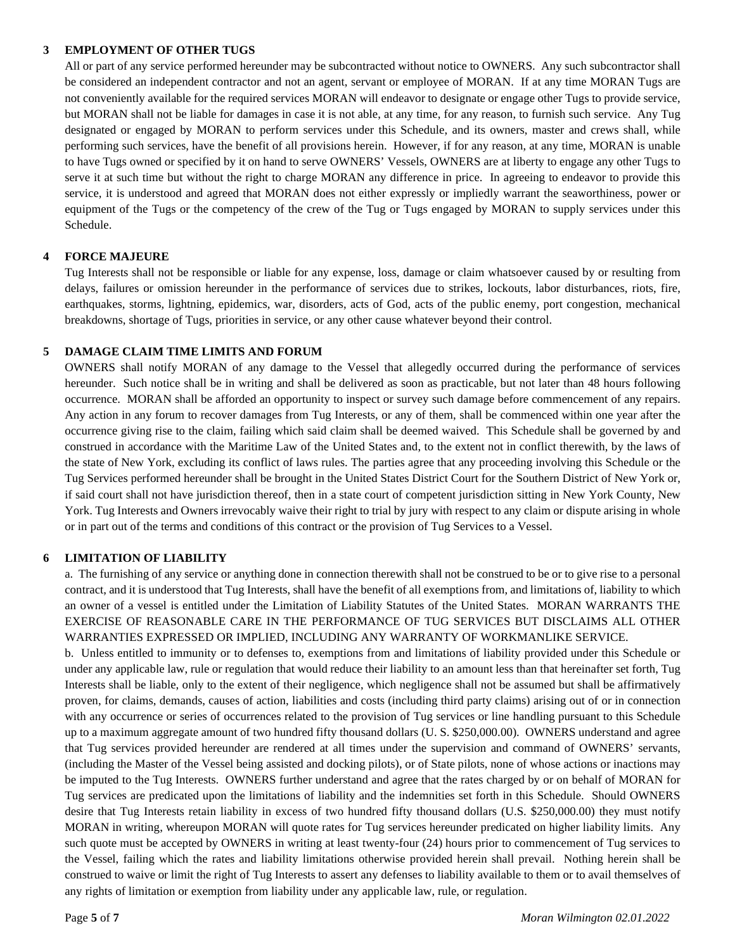### **3 EMPLOYMENT OF OTHER TUGS**

All or part of any service performed hereunder may be subcontracted without notice to OWNERS. Any such subcontractor shall be considered an independent contractor and not an agent, servant or employee of MORAN. If at any time MORAN Tugs are not conveniently available for the required services MORAN will endeavor to designate or engage other Tugs to provide service, but MORAN shall not be liable for damages in case it is not able, at any time, for any reason, to furnish such service. Any Tug designated or engaged by MORAN to perform services under this Schedule, and its owners, master and crews shall, while performing such services, have the benefit of all provisions herein. However, if for any reason, at any time, MORAN is unable to have Tugs owned or specified by it on hand to serve OWNERS' Vessels, OWNERS are at liberty to engage any other Tugs to serve it at such time but without the right to charge MORAN any difference in price. In agreeing to endeavor to provide this service, it is understood and agreed that MORAN does not either expressly or impliedly warrant the seaworthiness, power or equipment of the Tugs or the competency of the crew of the Tug or Tugs engaged by MORAN to supply services under this Schedule.

## **4 FORCE MAJEURE**

Tug Interests shall not be responsible or liable for any expense, loss, damage or claim whatsoever caused by or resulting from delays, failures or omission hereunder in the performance of services due to strikes, lockouts, labor disturbances, riots, fire, earthquakes, storms, lightning, epidemics, war, disorders, acts of God, acts of the public enemy, port congestion, mechanical breakdowns, shortage of Tugs, priorities in service, or any other cause whatever beyond their control.

## **5 DAMAGE CLAIM TIME LIMITS AND FORUM**

OWNERS shall notify MORAN of any damage to the Vessel that allegedly occurred during the performance of services hereunder. Such notice shall be in writing and shall be delivered as soon as practicable, but not later than 48 hours following occurrence. MORAN shall be afforded an opportunity to inspect or survey such damage before commencement of any repairs. Any action in any forum to recover damages from Tug Interests, or any of them, shall be commenced within one year after the occurrence giving rise to the claim, failing which said claim shall be deemed waived. This Schedule shall be governed by and construed in accordance with the Maritime Law of the United States and, to the extent not in conflict therewith, by the laws of the state of New York, excluding its conflict of laws rules. The parties agree that any proceeding involving this Schedule or the Tug Services performed hereunder shall be brought in the United States District Court for the Southern District of New York or, if said court shall not have jurisdiction thereof, then in a state court of competent jurisdiction sitting in New York County, New York. Tug Interests and Owners irrevocably waive their right to trial by jury with respect to any claim or dispute arising in whole or in part out of the terms and conditions of this contract or the provision of Tug Services to a Vessel.

## **6 LIMITATION OF LIABILITY**

a. The furnishing of any service or anything done in connection therewith shall not be construed to be or to give rise to a personal contract, and it is understood that Tug Interests, shall have the benefit of all exemptions from, and limitations of, liability to which an owner of a vessel is entitled under the Limitation of Liability Statutes of the United States. MORAN WARRANTS THE EXERCISE OF REASONABLE CARE IN THE PERFORMANCE OF TUG SERVICES BUT DISCLAIMS ALL OTHER WARRANTIES EXPRESSED OR IMPLIED, INCLUDING ANY WARRANTY OF WORKMANLIKE SERVICE.

b. Unless entitled to immunity or to defenses to, exemptions from and limitations of liability provided under this Schedule or under any applicable law, rule or regulation that would reduce their liability to an amount less than that hereinafter set forth, Tug Interests shall be liable, only to the extent of their negligence, which negligence shall not be assumed but shall be affirmatively proven, for claims, demands, causes of action, liabilities and costs (including third party claims) arising out of or in connection with any occurrence or series of occurrences related to the provision of Tug services or line handling pursuant to this Schedule up to a maximum aggregate amount of two hundred fifty thousand dollars (U. S. \$250,000.00). OWNERS understand and agree that Tug services provided hereunder are rendered at all times under the supervision and command of OWNERS' servants, (including the Master of the Vessel being assisted and docking pilots), or of State pilots, none of whose actions or inactions may be imputed to the Tug Interests. OWNERS further understand and agree that the rates charged by or on behalf of MORAN for Tug services are predicated upon the limitations of liability and the indemnities set forth in this Schedule. Should OWNERS desire that Tug Interests retain liability in excess of two hundred fifty thousand dollars (U.S. \$250,000.00) they must notify MORAN in writing, whereupon MORAN will quote rates for Tug services hereunder predicated on higher liability limits. Any such quote must be accepted by OWNERS in writing at least twenty-four (24) hours prior to commencement of Tug services to the Vessel, failing which the rates and liability limitations otherwise provided herein shall prevail. Nothing herein shall be construed to waive or limit the right of Tug Interests to assert any defenses to liability available to them or to avail themselves of any rights of limitation or exemption from liability under any applicable law, rule, or regulation.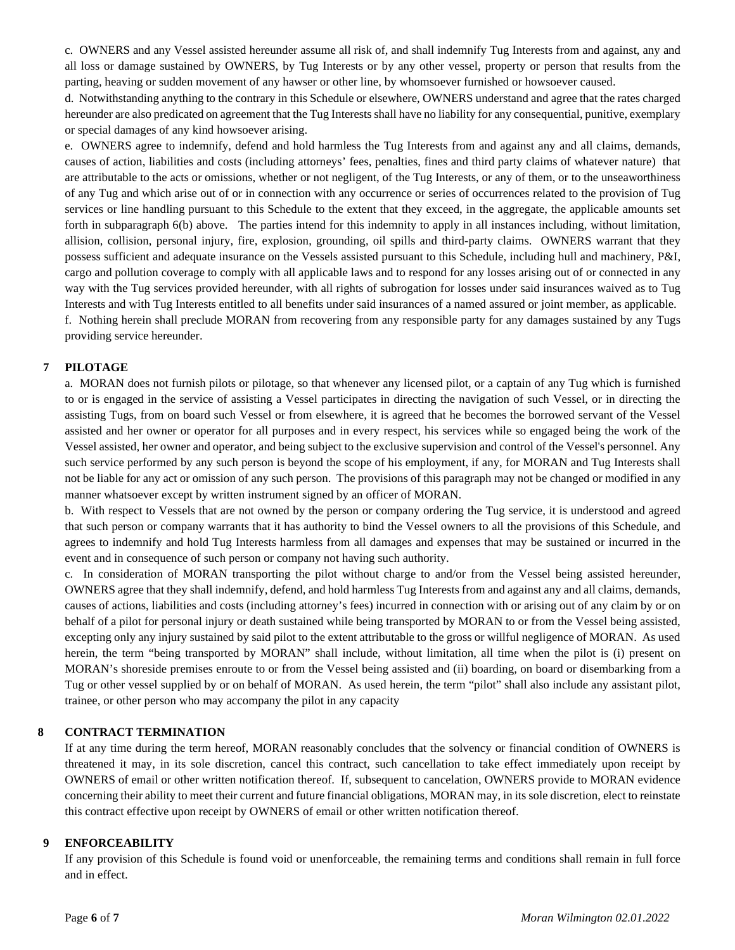c. OWNERS and any Vessel assisted hereunder assume all risk of, and shall indemnify Tug Interests from and against, any and all loss or damage sustained by OWNERS, by Tug Interests or by any other vessel, property or person that results from the parting, heaving or sudden movement of any hawser or other line, by whomsoever furnished or howsoever caused.

d. Notwithstanding anything to the contrary in this Schedule or elsewhere, OWNERS understand and agree that the rates charged hereunder are also predicated on agreement that the Tug Interests shall have no liability for any consequential, punitive, exemplary or special damages of any kind howsoever arising.

e. OWNERS agree to indemnify, defend and hold harmless the Tug Interests from and against any and all claims, demands, causes of action, liabilities and costs (including attorneys' fees, penalties, fines and third party claims of whatever nature) that are attributable to the acts or omissions, whether or not negligent, of the Tug Interests, or any of them, or to the unseaworthiness of any Tug and which arise out of or in connection with any occurrence or series of occurrences related to the provision of Tug services or line handling pursuant to this Schedule to the extent that they exceed, in the aggregate, the applicable amounts set forth in subparagraph 6(b) above. The parties intend for this indemnity to apply in all instances including, without limitation, allision, collision, personal injury, fire, explosion, grounding, oil spills and third-party claims. OWNERS warrant that they possess sufficient and adequate insurance on the Vessels assisted pursuant to this Schedule, including hull and machinery, P&I, cargo and pollution coverage to comply with all applicable laws and to respond for any losses arising out of or connected in any way with the Tug services provided hereunder, with all rights of subrogation for losses under said insurances waived as to Tug Interests and with Tug Interests entitled to all benefits under said insurances of a named assured or joint member, as applicable. f. Nothing herein shall preclude MORAN from recovering from any responsible party for any damages sustained by any Tugs providing service hereunder.

## **7 PILOTAGE**

a. MORAN does not furnish pilots or pilotage, so that whenever any licensed pilot, or a captain of any Tug which is furnished to or is engaged in the service of assisting a Vessel participates in directing the navigation of such Vessel, or in directing the assisting Tugs, from on board such Vessel or from elsewhere, it is agreed that he becomes the borrowed servant of the Vessel assisted and her owner or operator for all purposes and in every respect, his services while so engaged being the work of the Vessel assisted, her owner and operator, and being subject to the exclusive supervision and control of the Vessel's personnel. Any such service performed by any such person is beyond the scope of his employment, if any, for MORAN and Tug Interests shall not be liable for any act or omission of any such person. The provisions of this paragraph may not be changed or modified in any manner whatsoever except by written instrument signed by an officer of MORAN.

b. With respect to Vessels that are not owned by the person or company ordering the Tug service, it is understood and agreed that such person or company warrants that it has authority to bind the Vessel owners to all the provisions of this Schedule, and agrees to indemnify and hold Tug Interests harmless from all damages and expenses that may be sustained or incurred in the event and in consequence of such person or company not having such authority.

c. In consideration of MORAN transporting the pilot without charge to and/or from the Vessel being assisted hereunder, OWNERS agree that they shall indemnify, defend, and hold harmless Tug Interests from and against any and all claims, demands, causes of actions, liabilities and costs (including attorney's fees) incurred in connection with or arising out of any claim by or on behalf of a pilot for personal injury or death sustained while being transported by MORAN to or from the Vessel being assisted, excepting only any injury sustained by said pilot to the extent attributable to the gross or willful negligence of MORAN. As used herein, the term "being transported by MORAN" shall include, without limitation, all time when the pilot is (i) present on MORAN's shoreside premises enroute to or from the Vessel being assisted and (ii) boarding, on board or disembarking from a Tug or other vessel supplied by or on behalf of MORAN. As used herein, the term "pilot" shall also include any assistant pilot, trainee, or other person who may accompany the pilot in any capacity

### **8 CONTRACT TERMINATION**

If at any time during the term hereof, MORAN reasonably concludes that the solvency or financial condition of OWNERS is threatened it may, in its sole discretion, cancel this contract, such cancellation to take effect immediately upon receipt by OWNERS of email or other written notification thereof. If, subsequent to cancelation, OWNERS provide to MORAN evidence concerning their ability to meet their current and future financial obligations, MORAN may, in its sole discretion, elect to reinstate this contract effective upon receipt by OWNERS of email or other written notification thereof.

### **9 ENFORCEABILITY**

If any provision of this Schedule is found void or unenforceable, the remaining terms and conditions shall remain in full force and in effect.